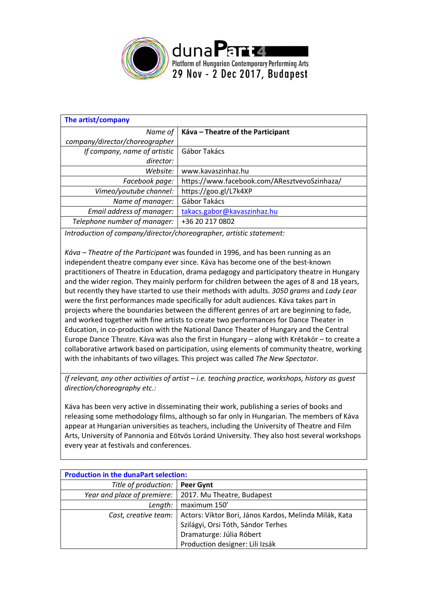

| The artist/company             |                                              |
|--------------------------------|----------------------------------------------|
| Name of                        | Káva – Theatre of the Participant            |
| company/director/choreographer |                                              |
| If company, name of artistic   | Gábor Takács                                 |
| director:                      |                                              |
| Website:                       | www.kavaszinhaz.hu                           |
| Facebook page:                 | https://www.facebook.com/AResztvevoSzinhaza/ |
| Vimeo/youtube channel:         | https://goo.gl/L7k4XP                        |
| Name of manager:               | Gábor Takács                                 |
| Email address of manager:      | takacs.gabor@kavaszinhaz.hu                  |
| Telephone number of manager:   | +36 20 217 0802                              |

*Introduction of company/director/choreographer, artistic statement:*

*Káva – Theatre of the Participant* was founded in 1996, and has been running as an independent theatre company ever since. Káva has become one of the best-known practitioners of Theatre in Education, drama pedagogy and participatory theatre in Hungary and the wider region. They mainly perform for children between the ages of 8 and 18 years, but recently they have started to use their methods with adults. *3050 grams* and *Lady Lear* were the first performances made specifically for adult audiences. Káva takes part in projects where the boundaries between the different genres of art are beginning to fade, and worked together with fine artists to create two performances for Dance Theater in Education, in co-production with the National Dance Theater of Hungary and the Central Europe Dance Theatre. Káva was also the first in Hungary – along with Krétakör – to create a collaborative artwork based on participation, using elements of community theatre, working with the inhabitants of two villages. This project was called *The New Spectator*.

*If relevant, any other activities of artist – i.e. teaching practice, workshops, history as guest direction/choreography etc.:*

Káva has been very active in disseminating their work, publishing a series of books and releasing some methodology films, although so far only in Hungarian. The members of Káva appear at Hungarian universities as teachers, including the University of Theatre and Film Arts, University of Pannonia and Eötvös Loránd University. They also host several workshops every year at festivals and conferences.

| <b>Production in the dunaPart selection:</b> |                                                          |  |  |
|----------------------------------------------|----------------------------------------------------------|--|--|
| Title of production:                         | Peer Gynt                                                |  |  |
|                                              | Year and place of premiere:   2017. Mu Theatre, Budapest |  |  |
| Length:                                      | maximum 150'                                             |  |  |
| Cast, creative team:                         | Actors: Viktor Bori, János Kardos, Melinda Milák, Kata   |  |  |
|                                              | Szilágyi, Orsi Tóth, Sándor Terhes                       |  |  |
|                                              | Dramaturge: Júlia Róbert                                 |  |  |
|                                              | Production designer: Lili Izsák                          |  |  |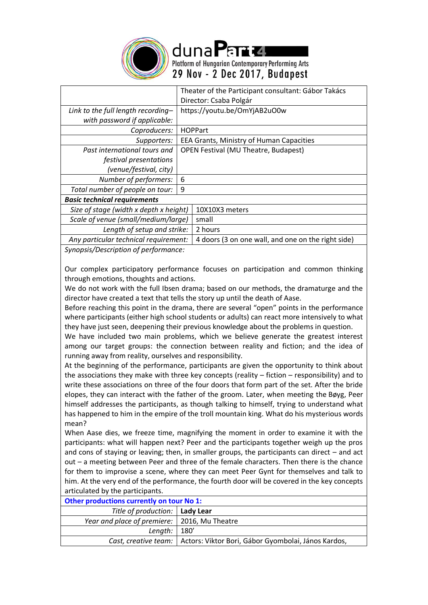

duna Parta Platform of Hungarian Contemporary Performing Arts 29 Nov - 2 Dec 2017, Budapest

|                                        | Theater of the Participant consultant: Gábor Takács |  |  |
|----------------------------------------|-----------------------------------------------------|--|--|
|                                        | Director: Csaba Polgár                              |  |  |
| Link to the full length recording-     | https://youtu.be/OmYjAB2uO0w                        |  |  |
| with password if applicable:           |                                                     |  |  |
| Coproducers:                           | <b>HOPPart</b>                                      |  |  |
| Supporters:                            | EEA Grants, Ministry of Human Capacities            |  |  |
| Past international tours and           | <b>OPEN Festival (MU Theatre, Budapest)</b>         |  |  |
| festival presentations                 |                                                     |  |  |
| (venue/festival, city)                 |                                                     |  |  |
| Number of performers:                  | 6                                                   |  |  |
| Total number of people on tour:        | 9                                                   |  |  |
| <b>Basic technical requirements</b>    |                                                     |  |  |
| Size of stage (width x depth x height) | 10X10X3 meters                                      |  |  |
| Scale of venue (small/medium/large)    | small                                               |  |  |
| Length of setup and strike:            | 2 hours                                             |  |  |
| Any particular technical requirement:  | 4 doors (3 on one wall, and one on the right side)  |  |  |
| Supencis (Description of performance:  |                                                     |  |  |

*Synopsis/Description of performance:*

Our complex participatory performance focuses on participation and common thinking through emotions, thoughts and actions.

We do not work with the full Ibsen drama; based on our methods, the dramaturge and the director have created a text that tells the story up until the death of Aase.

Before reaching this point in the drama, there are several "open" points in the performance where participants (either high school students or adults) can react more intensively to what they have just seen, deepening their previous knowledge about the problems in question.

We have included two main problems, which we believe generate the greatest interest among our target groups: the connection between reality and fiction; and the idea of running away from reality, ourselves and responsibility.

At the beginning of the performance, participants are given the opportunity to think about the associations they make with three key concepts (reality – fiction – responsibility) and to write these associations on three of the four doors that form part of the set. After the bride elopes, they can interact with the father of the groom. Later, when meeting the [Bøyg,](https://en.wikipedia.org/wiki/B%C3%B8yg) Peer himself addresses the participants, as though talking to himself, trying to understand what has happened to him in the empire of the troll mountain king. What do his mysterious words mean?

When Aase dies, we freeze time, magnifying the moment in order to examine it with the participants: what will happen next? Peer and the participants together weigh up the pros and cons of staying or leaving; then, in smaller groups, the participants can direct – and act out – a meeting between Peer and three of the female characters. Then there is the chance for them to improvise a scene, where they can meet Peer Gynt for themselves and talk to him. At the very end of the performance, the fourth door will be covered in the key concepts articulated by the participants.

| Other productions currently on tour No 1:      |                                                                            |  |  |
|------------------------------------------------|----------------------------------------------------------------------------|--|--|
| Title of production:   Lady Lear               |                                                                            |  |  |
| Year and place of premiere:   2016, Mu Theatre |                                                                            |  |  |
| Length: $  180'$                               |                                                                            |  |  |
|                                                | Cast, creative team:   Actors: Viktor Bori, Gábor Gyombolai, János Kardos, |  |  |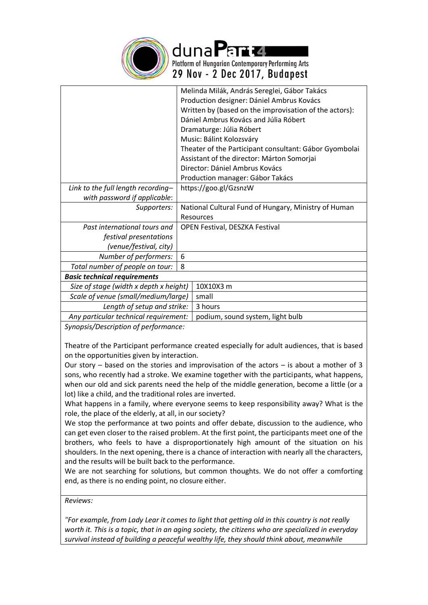

duna Parta Platform of Hungarian Contemporary Performing Arts 29 Nov - 2 Dec 2017, Budapest

|                                        |                                                      | Melinda Milák, András Sereglei, Gábor Takács           |  |  |
|----------------------------------------|------------------------------------------------------|--------------------------------------------------------|--|--|
|                                        |                                                      | Production designer: Dániel Ambrus Kovács              |  |  |
|                                        |                                                      | Written by (based on the improvisation of the actors): |  |  |
|                                        |                                                      | Dániel Ambrus Kovács and Júlia Róbert                  |  |  |
|                                        |                                                      | Dramaturge: Júlia Róbert                               |  |  |
|                                        |                                                      | Music: Bálint Kolozsváry                               |  |  |
|                                        |                                                      | Theater of the Participant consultant: Gábor Gyombolai |  |  |
|                                        |                                                      | Assistant of the director: Márton Somorjai             |  |  |
|                                        |                                                      | Director: Dániel Ambrus Kovács                         |  |  |
|                                        |                                                      | Production manager: Gábor Takács                       |  |  |
| Link to the full length recording-     | https://goo.gl/GzsnzW                                |                                                        |  |  |
| with password if applicable:           |                                                      |                                                        |  |  |
| Supporters:                            | National Cultural Fund of Hungary, Ministry of Human |                                                        |  |  |
|                                        | <b>Resources</b>                                     |                                                        |  |  |
| Past international tours and           | <b>OPEN Festival, DESZKA Festival</b>                |                                                        |  |  |
| festival presentations                 |                                                      |                                                        |  |  |
| (venue/festival, city)                 |                                                      |                                                        |  |  |
| Number of performers:                  | 6                                                    |                                                        |  |  |
| Total number of people on tour:        | 8                                                    |                                                        |  |  |
| <b>Basic technical requirements</b>    |                                                      |                                                        |  |  |
| Size of stage (width x depth x height) |                                                      | 10X10X3 m                                              |  |  |
| Scale of venue (small/medium/large)    |                                                      | small                                                  |  |  |
| Length of setup and strike:            |                                                      | 3 hours                                                |  |  |
| Any particular technical requirement:  |                                                      | podium, sound system, light bulb                       |  |  |
|                                        |                                                      |                                                        |  |  |

*Synopsis/Description of performance:*

Theatre of the Participant performance created especially for adult audiences, that is based on the opportunities given by interaction.

Our story – based on the stories and improvisation of the actors – is about a mother of 3 sons, who recently had a stroke. We examine together with the participants, what happens, when our old and sick parents need the help of the middle generation, become a little (or a lot) like a child, and the traditional roles are inverted.

What happens in a family, where everyone seems to keep responsibility away? What is the role, the place of the elderly, at all, in our society?

We stop the performance at two points and offer debate, discussion to the audience, who can get even closer to the raised problem. At the first point, the participants meet one of the brothers, who feels to have a disproportionately high amount of the situation on his shoulders. In the next opening, there is a chance of interaction with nearly all the characters, and the results will be built back to the performance.

We are not searching for solutions, but common thoughts. We do not offer a comforting end, as there is no ending point, no closure either.

*Reviews:*

*"For example, from Lady Lear it comes to light that getting old in this country is not really worth it. This is a topic, that in an aging society, the citizens who are specialized in everyday survival instead of building a peaceful wealthy life, they should think about, meanwhile*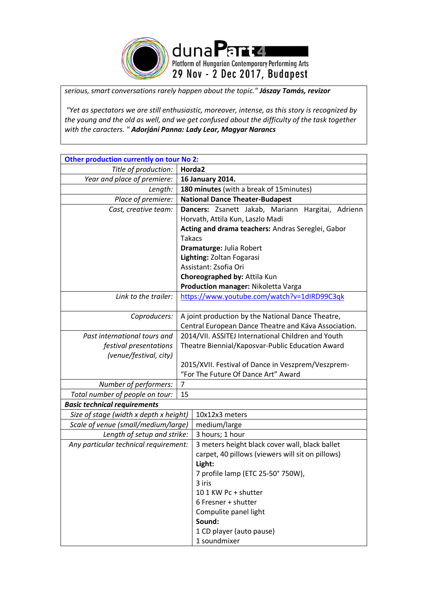

*serious, smart conversations rarely happen about the topic." Jászay Tamás, revizor*

*"Yet as spectators we are still enthusiastic, moreover, intense, as this story is recognized by the young and the old as well, and we get confused about the difficulty of the task together with the caracters. " Adorjáni Panna: Lady Lear, Magyar Narancs*

| Other production currently on tour No 2: |                                                      |                                                      |  |  |
|------------------------------------------|------------------------------------------------------|------------------------------------------------------|--|--|
| Title of production:                     | Horda <sub>2</sub>                                   |                                                      |  |  |
| Year and place of premiere:              | 16 January 2014.                                     |                                                      |  |  |
| Length:                                  | 180 minutes (with a break of 15 minutes)             |                                                      |  |  |
| Place of premiere:                       |                                                      | <b>National Dance Theater-Budapest</b>               |  |  |
| Cast, creative team:                     | Dancers: Zsanett Jakab, Mariann<br>Hargitai, Adrienn |                                                      |  |  |
|                                          |                                                      | Horvath, Attila Kun, Laszlo Madi                     |  |  |
|                                          | Acting and drama teachers: Andras Sereglei, Gabor    |                                                      |  |  |
|                                          | <b>Takacs</b>                                        |                                                      |  |  |
|                                          |                                                      | Dramaturge: Julia Robert                             |  |  |
|                                          |                                                      | Lighting: Zoltan Fogarasi                            |  |  |
|                                          |                                                      | Assistant: Zsofia Ori                                |  |  |
|                                          |                                                      | Choreographed by: Attila Kun                         |  |  |
|                                          |                                                      | Production manager: Nikoletta Varga                  |  |  |
| Link to the trailer:                     |                                                      | https://www.youtube.com/watch?v=1dIRD99C3qk          |  |  |
|                                          |                                                      |                                                      |  |  |
| Coproducers:                             | A joint production by the National Dance Theatre,    |                                                      |  |  |
|                                          |                                                      | Central European Dance Theatre and Káva Association. |  |  |
| Past international tours and             |                                                      | 2014/VII. ASSITEJ International Children and Youth   |  |  |
| festival presentations                   |                                                      | Theatre Biennial/Kaposvar-Public Education Award     |  |  |
| (venue/festival, city)                   |                                                      |                                                      |  |  |
|                                          |                                                      | 2015/XVII. Festival of Dance in Veszprem/Veszprem-   |  |  |
|                                          |                                                      | "For The Future Of Dance Art" Award                  |  |  |
| Number of performers:                    | $\overline{7}$                                       |                                                      |  |  |
| Total number of people on tour:          | 15                                                   |                                                      |  |  |
| <b>Basic technical requirements</b>      |                                                      |                                                      |  |  |
| Size of stage (width x depth x height)   |                                                      | 10x12x3 meters                                       |  |  |
| Scale of venue (small/medium/large)      |                                                      | medium/large                                         |  |  |
| Length of setup and strike:              |                                                      | 3 hours; 1 hour                                      |  |  |
| Any particular technical requirement:    |                                                      | 3 meters height black cover wall, black ballet       |  |  |
|                                          |                                                      | carpet, 40 pillows (viewers will sit on pillows)     |  |  |
|                                          |                                                      | Light:                                               |  |  |
|                                          |                                                      | 7 profile lamp (ETC 25-50° 750W),                    |  |  |
|                                          |                                                      | 3 iris                                               |  |  |
|                                          |                                                      | 10 1 KW Pc + shutter                                 |  |  |
|                                          |                                                      | 6 Fresner + shutter                                  |  |  |
|                                          |                                                      | Compulite panel light                                |  |  |
|                                          |                                                      | Sound:                                               |  |  |
|                                          |                                                      | 1 CD player (auto pause)                             |  |  |
|                                          |                                                      | 1 soundmixer                                         |  |  |